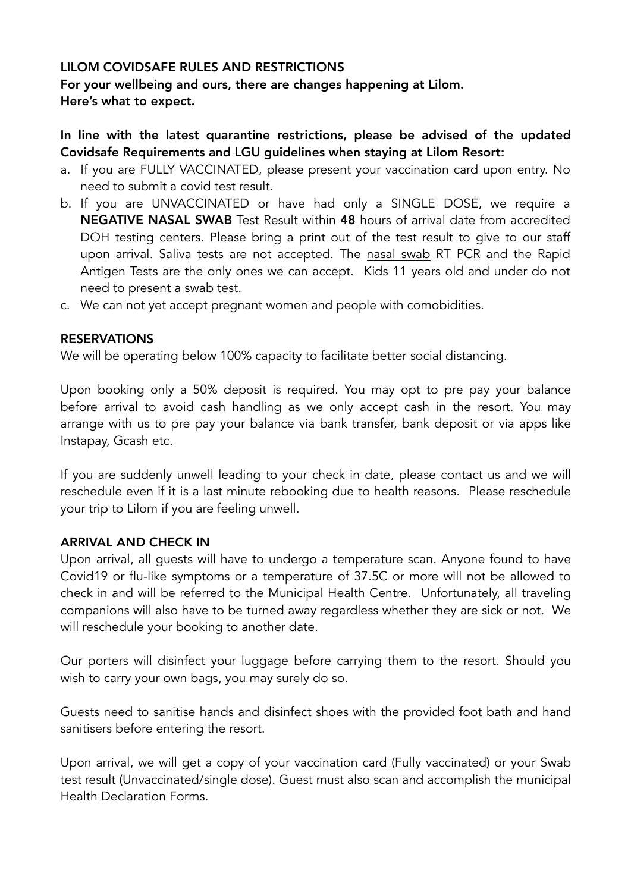## LILOM COVIDSAFE RULES AND RESTRICTIONS

For your wellbeing and ours, there are changes happening at Lilom. Here's what to expect.

# In line with the latest quarantine restrictions, please be advised of the updated Covidsafe Requirements and LGU guidelines when staying at Lilom Resort:

- a. If you are FULLY VACCINATED, please present your vaccination card upon entry. No need to submit a covid test result.
- b. If you are UNVACCINATED or have had only a SINGLE DOSE, we require a NEGATIVE NASAL SWAB Test Result within 48 hours of arrival date from accredited DOH testing centers. Please bring a print out of the test result to give to our staff upon arrival. Saliva tests are not accepted. The nasal swab RT PCR and the Rapid Antigen Tests are the only ones we can accept. Kids 11 years old and under do not need to present a swab test.
- c. We can not yet accept pregnant women and people with comobidities.

## RESERVATIONS

We will be operating below 100% capacity to facilitate better social distancing.

Upon booking only a 50% deposit is required. You may opt to pre pay your balance before arrival to avoid cash handling as we only accept cash in the resort. You may arrange with us to pre pay your balance via bank transfer, bank deposit or via apps like Instapay, Gcash etc.

If you are suddenly unwell leading to your check in date, please contact us and we will reschedule even if it is a last minute rebooking due to health reasons. Please reschedule your trip to Lilom if you are feeling unwell.

#### ARRIVAL AND CHECK IN

Upon arrival, all guests will have to undergo a temperature scan. Anyone found to have Covid19 or flu-like symptoms or a temperature of 37.5C or more will not be allowed to check in and will be referred to the Municipal Health Centre. Unfortunately, all traveling companions will also have to be turned away regardless whether they are sick or not. We will reschedule your booking to another date.

Our porters will disinfect your luggage before carrying them to the resort. Should you wish to carry your own bags, you may surely do so.

Guests need to sanitise hands and disinfect shoes with the provided foot bath and hand sanitisers before entering the resort.

Upon arrival, we will get a copy of your vaccination card (Fully vaccinated) or your Swab test result (Unvaccinated/single dose). Guest must also scan and accomplish the municipal Health Declaration Forms.